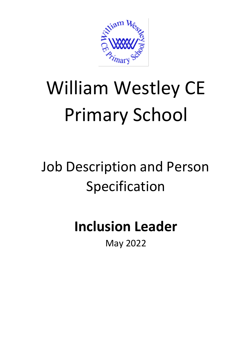

# William Westley CE Primary School

## Job Description and Person Specification

### **Inclusion Leader**

May 2022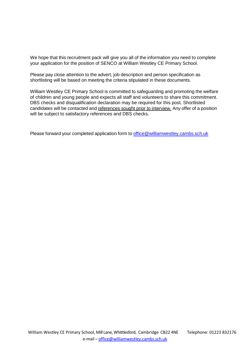We hope that this recruitment pack will give you all of the information you need to complete your application for the position of SENCO at William Westley CE Primary School.

Please pay close attention to the advert, job description and person specification as shortlisting will be based on meeting the criteria stipulated in these documents.

William Westley CE Primary School is committed to safeguarding and promoting the welfare of children and young people and expects all staff and volunteers to share this commitment. DBS checks and disqualification declaration may be required for this post. Shortlisted candidates will be contacted and references sought prior to interview. Any offer of a position will be subject to satisfactory references and DBS checks.

Please forward your completed application form to [office@williamwestley.cambs.sch.uk](mailto:office@williamwestley.cambs.sch.uk)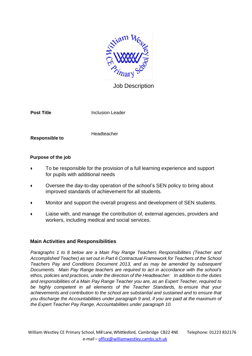

#### Job Description

**Post Title Inclusion Leader** 

**Responsible to**

**Headteacher** 

#### **Purpose of the job**

- To be responsible for the provision of a full learning experience and support for pupils with additional needs
- Oversee the day-to-day operation of the school's SEN policy to bring about improved standards of achievement for all students.
- Monitor and support the overall progress and development of SEN students.
- Liaise with, and manage the contribution of, external agencies, providers and workers, including medical and social services.

#### **Main Activities and Responsibilities**

*Paragraphs 1 to 8 below are a Main Pay Range Teachers Responsibilities (Teacher and Accomplished Teacher) as set out in Part 6 Contractual Framework for Teachers of the School Teachers Pay and Conditions Document 2013, and as may be amended by subsequent Documents. Main Pay Range teachers are required to act in accordance with the school's ethos, policies and practices, under the direction of the Headteacher: In addition to the duties and responsibilities of a Main Pay Range Teacher you are, as an Expert Teacher, required to be highly competent in all elements of the Teacher Standards, to ensure that your achievements and contribution to the school are substantial and sustained and to ensure that you discharge the Accountabilities under paragraph 9 and, if you are paid at the maximum of the Expert Teacher Pay Range, Accountabilities under paragraph 10.*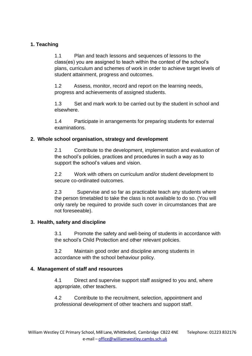#### **1. Teaching**

1.1 Plan and teach lessons and sequences of lessons to the class(es) you are assigned to teach within the context of the school's plans, curriculum and schemes of work in order to achieve target levels of student attainment, progress and outcomes.

1.2 Assess, monitor, record and report on the learning needs, progress and achievements of assigned students.

1.3 Set and mark work to be carried out by the student in school and elsewhere.

1.4 Participate in arrangements for preparing students for external examinations.

#### **2. Whole school organisation, strategy and development**

2.1 Contribute to the development, implementation and evaluation of the school's policies, practices and procedures in such a way as to support the school's values and vision.

2.2 Work with others on curriculum and/or student development to secure co-ordinated outcomes.

2.3 Supervise and so far as practicable teach any students where the person timetabled to take the class is not available to do so. (You will only rarely be required to provide such cover in circumstances that are not foreseeable).

#### **3. Health, safety and discipline**

3.1 Promote the safety and well-being of students in accordance with the school's Child Protection and other relevant policies.

3.2 Maintain good order and discipline among students in accordance with the school behaviour policy.

#### **4. Management of staff and resources**

4.1 Direct and supervise support staff assigned to you and, where appropriate, other teachers.

4.2 Contribute to the recruitment, selection, appointment and professional development of other teachers and support staff.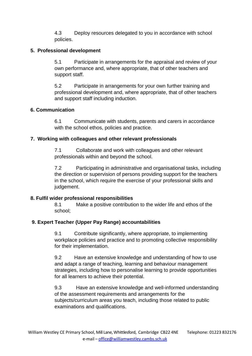4.3 Deploy resources delegated to you in accordance with school policies.

#### **5. Professional development**

5.1 Participate in arrangements for the appraisal and review of your own performance and, where appropriate, that of other teachers and support staff.

5.2 Participate in arrangements for your own further training and professional development and, where appropriate, that of other teachers and support staff including induction.

#### **6. Communication**

6.1 Communicate with students, parents and carers in accordance with the school ethos, policies and practice.

#### **7. Working with colleagues and other relevant professionals**

7.1 Collaborate and work with colleagues and other relevant professionals within and beyond the school.

7.2 Participating in administrative and organisational tasks, including the direction or supervision of persons providing support for the teachers in the school, which require the exercise of your professional skills and judgement.

#### **8. Fulfil wider professional responsibilities**

8.1 Make a positive contribution to the wider life and ethos of the school;

#### **9. Expert Teacher (Upper Pay Range) accountabilities**

9.1 Contribute significantly, where appropriate, to implementing workplace policies and practice and to promoting collective responsibility for their implementation.

9.2 Have an extensive knowledge and understanding of how to use and adapt a range of teaching, learning and behaviour management strategies, including how to personalise learning to provide opportunities for all learners to achieve their potential.

9.3 Have an extensive knowledge and well-informed understanding of the assessment requirements and arrangements for the subjects/curriculum areas you teach, including those related to public examinations and qualifications.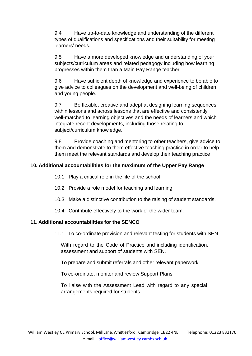9.4 Have up-to-date knowledge and understanding of the different types of qualifications and specifications and their suitability for meeting learners' needs.

9.5 Have a more developed knowledge and understanding of your subjects/curriculum areas and related pedagogy including how learning progresses within them than a Main Pay Range teacher.

9.6 Have sufficient depth of knowledge and experience to be able to give advice to colleagues on the development and well-being of children and young people.

9.7 Be flexible, creative and adept at designing learning sequences within lessons and across lessons that are effective and consistently well-matched to learning objectives and the needs of learners and which integrate recent developments, including those relating to subject/curriculum knowledge.

9.8 Provide coaching and mentoring to other teachers, give advice to them and demonstrate to them effective teaching practice in order to help them meet the relevant standards and develop their teaching practice

#### **10. Additional accountabilities for the maximum of the Upper Pay Range**

- 10.1 Play a critical role in the life of the school.
- 10.2 Provide a role model for teaching and learning.
- 10.3 Make a distinctive contribution to the raising of student standards.
- 10.4 Contribute effectively to the work of the wider team.

#### **11. Additional accountabilities for the SENCO**

11.1 To co-ordinate provision and relevant testing for students with SEN

With regard to the Code of Practice and including identification, assessment and support of students with SEN.

To prepare and submit referrals and other relevant paperwork

To co-ordinate, monitor and review Support Plans

To liaise with the Assessment Lead with regard to any special arrangements required for students.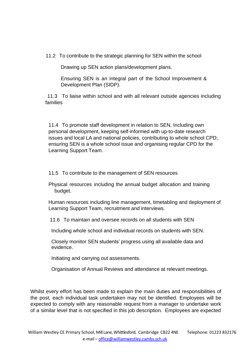11.2 To contribute to the strategic planning for SEN within the school

Drawing up SEN action plans/development plans.

Ensuring SEN is an integral part of the School Improvement & Development Plan (SIDP).

11.3 To liaise within school and with all relevant outside agencies including families

11.4 To promote staff development in relation to SEN, Including own personal development, keeping self-informed with up-to-date research issues and local LA and national policies, contributing to whole school CPD; ensuring SEN is a whole school issue and organising regular CPD for the Learning Support Team.

11.5 To contribute to the management of SEN resources

Physical resources including the annual budget allocation and training budget.

Human resources including line management, timetabling and deployment of Learning Support Team, recruitment and interviews.

11.6 To maintain and oversee records on all students with SEN

Including whole school and individual records on students with SEN.

Closely monitor SEN students' progress using all available data and evidence.

Initiating and carrying out assessments.

Organisation of Annual Reviews and attendance at relevant meetings.

Whilst every effort has been made to explain the main duties and responsibilities of the post, each individual task undertaken may not be identified. Employees will be expected to comply with any reasonable request from a manager to undertake work of a similar level that is not specified in this job description. Employees are expected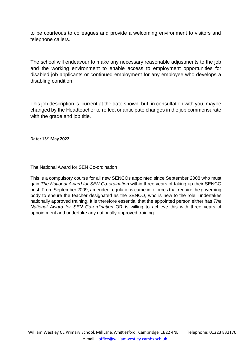to be courteous to colleagues and provide a welcoming environment to visitors and telephone callers.

The school will endeavour to make any necessary reasonable adjustments to the job and the working environment to enable access to employment opportunities for disabled job applicants or continued employment for any employee who develops a disabling condition.

This job description is current at the date shown, but, in consultation with you, maybe changed by the Headteacher to reflect or anticipate changes in the job commensurate with the grade and job title.

**Date: 13th May 2022**

The National Award for SEN Co-ordination

This is a compulsory course for all new SENCOs appointed since September 2008 who must gain *The National Award for SEN Co-ordination* within three years of taking up their SENCO post. From September 2009, amended regulations came into forces that require the governing body to ensure the teacher designated as the SENCO, who is new to the role, undertakes nationally approved training. It is therefore essential that the appointed person either has *The National Award for SEN Co-ordination* OR is willing to achieve this with three years of appointment and undertake any nationally approved training.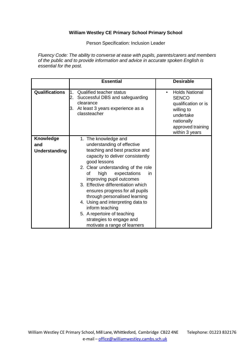#### **William Westley CE Primary School Primary School**

Person Specification: Inclusion Leader

*Fluency Code: The ability to converse at ease with pupils, parents/carers and members of the public and to provide information and advice in accurate spoken English is essential for the post.*

|                       | <b>Essential</b>                                                                                                                                      | <b>Desirable</b>                                                                                                                                  |
|-----------------------|-------------------------------------------------------------------------------------------------------------------------------------------------------|---------------------------------------------------------------------------------------------------------------------------------------------------|
| <b>Qualifications</b> | <b>Qualified teacher status</b><br>1.<br>Successful DBS and safeguarding<br>2.<br>clearance<br>At least 3 years experience as a<br>3.<br>classteacher | <b>Holds National</b><br>٠<br><b>SENCO</b><br>qualification or is<br>willing to<br>undertake<br>nationally<br>approved training<br>within 3 years |
| Knowledge             | 1. The knowledge and                                                                                                                                  |                                                                                                                                                   |
| and                   | understanding of effective                                                                                                                            |                                                                                                                                                   |
| <b>Understanding</b>  | teaching and best practice and                                                                                                                        |                                                                                                                                                   |
|                       | capacity to deliver consistently<br>good lessons                                                                                                      |                                                                                                                                                   |
|                       | 2. Clear understanding of the role                                                                                                                    |                                                                                                                                                   |
|                       | high<br>expectations<br>οf<br>in.                                                                                                                     |                                                                                                                                                   |
|                       | improving pupil outcomes                                                                                                                              |                                                                                                                                                   |
|                       | 3. Effective differentiation which                                                                                                                    |                                                                                                                                                   |
|                       | ensures progress for all pupils                                                                                                                       |                                                                                                                                                   |
|                       | through personalised learning                                                                                                                         |                                                                                                                                                   |
|                       | 4. Using and interpreting data to                                                                                                                     |                                                                                                                                                   |
|                       | inform teaching                                                                                                                                       |                                                                                                                                                   |
|                       | 5. A repertoire of teaching<br>strategies to engage and                                                                                               |                                                                                                                                                   |
|                       | motivate a range of learners                                                                                                                          |                                                                                                                                                   |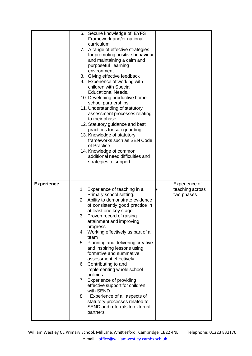|                   | 6. Secure knowledge of EYFS<br>Framework and/or national<br>curriculum<br>7. A range of effective strategies<br>for promoting positive behaviour<br>and maintaining a calm and<br>purposeful learning<br>environment<br>8. Giving effective feedback<br>9. Experience of working with<br>children with Special<br><b>Educational Needs.</b><br>10. Developing productive home<br>school partnerships<br>11. Understanding of statutory<br>assessment processes relating<br>to their phase<br>12. Statutory guidance and best<br>practices for safeguarding<br>13. Knowledge of statutory<br>frameworks such as SEN Code<br>of Practice<br>14. Knowledge of common<br>additional need difficulties and<br>strategies to support          |
|-------------------|-----------------------------------------------------------------------------------------------------------------------------------------------------------------------------------------------------------------------------------------------------------------------------------------------------------------------------------------------------------------------------------------------------------------------------------------------------------------------------------------------------------------------------------------------------------------------------------------------------------------------------------------------------------------------------------------------------------------------------------------|
| <b>Experience</b> | Experience of<br>1. Experience of teaching in a<br>teaching across<br>Primary school setting.<br>two phases<br>2. Ability to demonstrate evidence<br>of consistently good practice in<br>at least one key stage.<br>3. Proven record of raising<br>attainment and improving<br>progress<br>4. Working effectively as part of a<br>team<br>5. Planning and delivering creative<br>and inspiring lessons using<br>formative and summative<br>assessment effectively<br>6. Contributing to and<br>implementing whole school<br>policies<br>7. Experience of providing<br>effective support for children<br>with SEND<br>8.<br>Experience of all aspects of<br>statutory processes related to<br>SEND and referrals to external<br>partners |